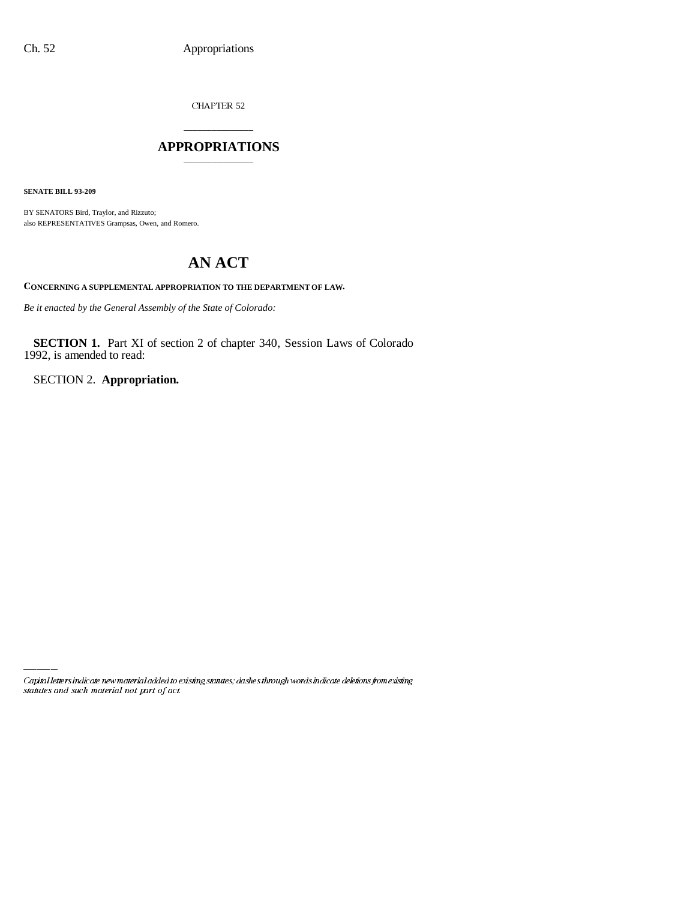CHAPTER 52

## \_\_\_\_\_\_\_\_\_\_\_\_\_\_\_ **APPROPRIATIONS** \_\_\_\_\_\_\_\_\_\_\_\_\_\_\_

**SENATE BILL 93-209**

BY SENATORS Bird, Traylor, and Rizzuto; also REPRESENTATIVES Grampsas, Owen, and Romero.

# **AN ACT**

**CONCERNING A SUPPLEMENTAL APPROPRIATION TO THE DEPARTMENT OF LAW.**

*Be it enacted by the General Assembly of the State of Colorado:*

**SECTION 1.** Part XI of section 2 of chapter 340, Session Laws of Colorado 1992, is amended to read:

SECTION 2. **Appropriation.**

Capital letters indicate new material added to existing statutes; dashes through words indicate deletions from existing statutes and such material not part of act.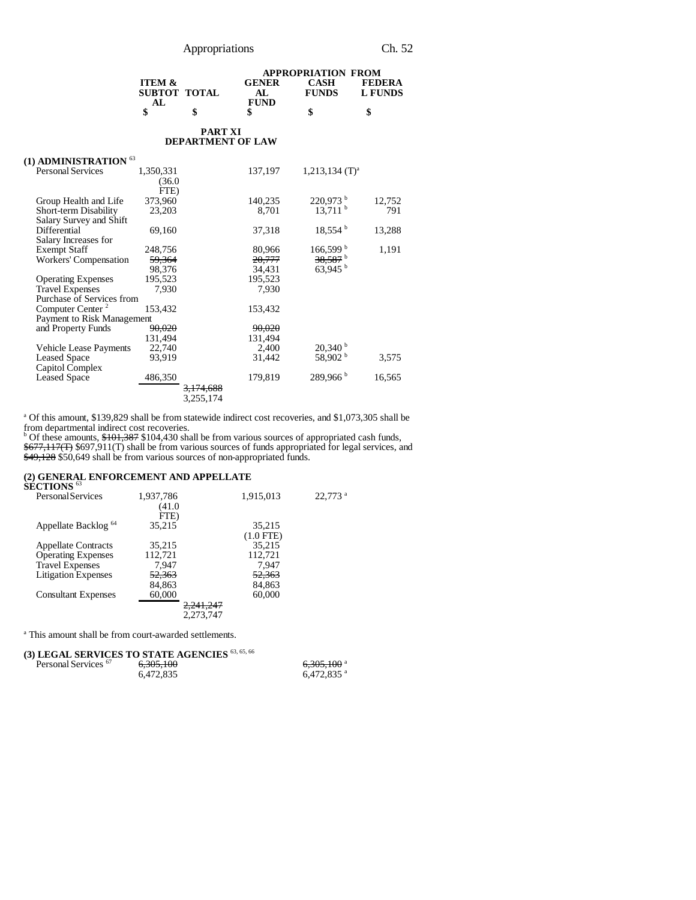|                   |                |              | <b>APPROPRIATION FROM</b> |                |
|-------------------|----------------|--------------|---------------------------|----------------|
| <b>ITEM &amp;</b> |                | <b>GENER</b> | CASH                      | FEDERA         |
| SUBTOT TOTAL      |                |              | <b>FUNDS</b>              | <b>L FUNDS</b> |
| AL.               |                | <b>FUND</b>  |                           |                |
|                   | S              |              |                           |                |
|                   | <b>PART XI</b> |              |                           |                |

## **DEPARTMENT OF LAW**

| (1) ADMINISTRATION $^{63}$   |           |                      |         |                              |        |
|------------------------------|-----------|----------------------|---------|------------------------------|--------|
| <b>Personal Services</b>     | 1,350,331 |                      | 137,197 | $1,213,134$ (T) <sup>a</sup> |        |
|                              | (36.0     |                      |         |                              |        |
|                              | FTE)      |                      |         |                              |        |
| Group Health and Life        | 373,960   |                      | 140,235 | 220,973 b                    | 12,752 |
| Short-term Disability        | 23,203    |                      | 8,701   | $13,711$ <sup>b</sup>        | 791    |
| Salary Survey and Shift      |           |                      |         |                              |        |
| Differential                 | 69,160    |                      | 37,318  | $18,554$ <sup>b</sup>        | 13,288 |
| Salary Increases for         |           |                      |         |                              |        |
| <b>Exempt Staff</b>          | 248,756   |                      | 80,966  | $166,599^{\mathrm{b}}$       | 1,191  |
| Workers' Compensation        | 59,364    |                      | 20,777  | 38,587 <sup>b</sup>          |        |
|                              | 98,376    |                      | 34,431  | $63,945$ <sup>b</sup>        |        |
| <b>Operating Expenses</b>    | 195,523   |                      | 195,523 |                              |        |
| <b>Travel Expenses</b>       | 7,930     |                      | 7,930   |                              |        |
| Purchase of Services from    |           |                      |         |                              |        |
| Computer Center <sup>2</sup> | 153,432   |                      | 153,432 |                              |        |
| Payment to Risk Management   |           |                      |         |                              |        |
| and Property Funds           | 90,020    |                      | 90,020  |                              |        |
|                              | 131,494   |                      | 131,494 |                              |        |
| Vehicle Lease Payments       | 22,740    |                      | 2,400   | $20,340^{\circ}$             |        |
| <b>Leased Space</b>          | 93,919    |                      | 31,442  | 58,902 b                     | 3,575  |
| Capitol Complex              |           |                      |         |                              |        |
| <b>Leased Space</b>          | 486,350   |                      | 179,819 | $289,966^{\mathrm{b}}$       | 16,565 |
|                              |           | <del>3.174.688</del> |         |                              |        |
|                              |           | 3,255,174            |         |                              |        |

<sup>a</sup> Of this amount, \$139,829 shall be from statewide indirect cost recoveries, and \$1,073,305 shall be from departmental indirect cost recoveries.<br><sup>b</sup> Of these amounts, <del>\$101,387</del> \$104,430 shall be from various sources of appropriated cash funds,

\$677,117(T) \$697,911(T) shall be from various sources of funds appropriated for legal services, and \$49,128 \$50,649 shall be from various sources of non-appropriated funds.

# **(2) GENERAL ENFORCEMENT AND APPELLATE SECTIONS** <sup>63</sup>

| SECTIVIS                        |           |                      |                       |
|---------------------------------|-----------|----------------------|-----------------------|
| <b>Personal Services</b>        | 1,937,786 | 1,915,013            | $22.773$ <sup>a</sup> |
|                                 | (41.0     |                      |                       |
|                                 | FTE)      |                      |                       |
| Appellate Backlog <sup>64</sup> | 35.215    | 35,215               |                       |
|                                 |           | $(1.0$ FTE)          |                       |
| <b>Appellate Contracts</b>      | 35.215    | 35.215               |                       |
| <b>Operating Expenses</b>       | 112,721   | 112,721              |                       |
| <b>Travel Expenses</b>          | 7.947     | 7.947                |                       |
| <b>Litigation Expenses</b>      | 52,363    | 52,363               |                       |
|                                 | 84,863    | 84,863               |                       |
| <b>Consultant Expenses</b>      | 60,000    | 60,000               |                       |
|                                 |           | <del>2,241,247</del> |                       |
|                                 |           | 2.273.747            |                       |
|                                 |           |                      |                       |

a This amount shall be from court-awarded settlements.

|  |  | (3) LEGAL SERVICES TO STATE AGENCIES 63, 65, 66 |  |
|--|--|-------------------------------------------------|--|
|  |  | $\sim$ 0.05 1.00                                |  |

| Personal Services <sup>67</sup> | 6.305.100<br>6.472.835 | $\epsilon$ 205 100 $^{\circ}$<br>0.305.100<br>$6.472.835$ <sup>a</sup> |
|---------------------------------|------------------------|------------------------------------------------------------------------|
|                                 |                        |                                                                        |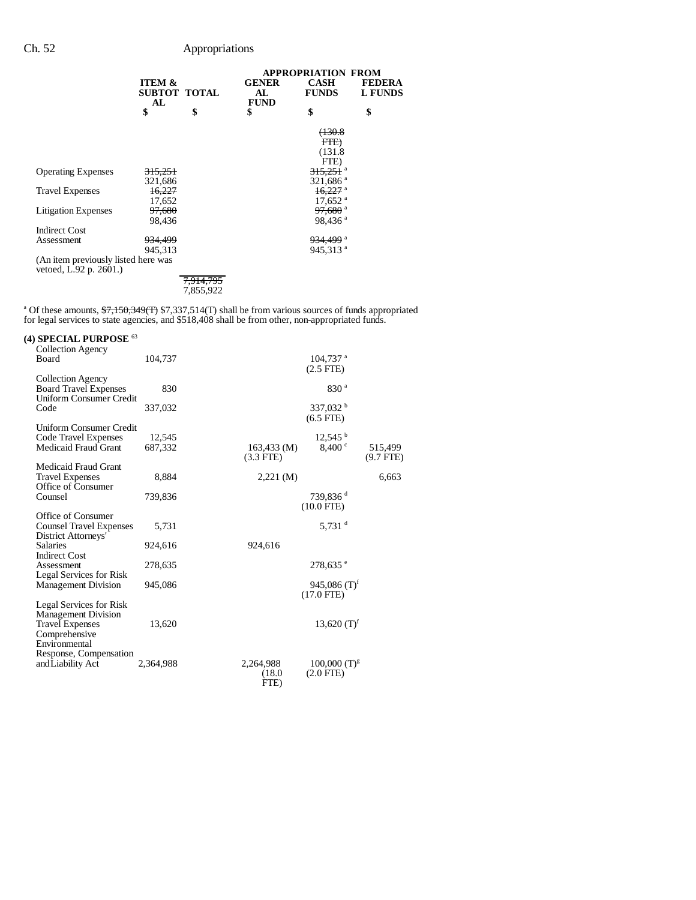|                                                               |                         |                      | <b>APPROPRIATION FROM</b>         |                       |                                 |  |
|---------------------------------------------------------------|-------------------------|----------------------|-----------------------------------|-----------------------|---------------------------------|--|
|                                                               | <b>ITEM &amp;</b><br>AL | SUBTOT TOTAL         | <b>GENER</b><br>AL<br><b>FUND</b> | CASH<br><b>FUNDS</b>  | <b>FEDERA</b><br><b>L FUNDS</b> |  |
|                                                               | \$                      | \$                   | \$                                | \$                    | \$                              |  |
|                                                               |                         |                      |                                   | (130.8)               |                                 |  |
|                                                               |                         |                      |                                   | F <del>TE)</del>      |                                 |  |
|                                                               |                         |                      |                                   | (131.8                |                                 |  |
|                                                               |                         |                      |                                   | FTE)                  |                                 |  |
| <b>Operating Expenses</b>                                     | <del>315,251</del>      |                      |                                   | <del>315.251</del> a  |                                 |  |
|                                                               | 321,686                 |                      |                                   | 321,686 <sup>a</sup>  |                                 |  |
| <b>Travel Expenses</b>                                        | 16,227                  |                      |                                   | $16,227$ <sup>a</sup> |                                 |  |
|                                                               | 17,652                  |                      |                                   | $17,652$ <sup>a</sup> |                                 |  |
| <b>Litigation Expenses</b>                                    | 97,680                  |                      |                                   | <del>97,680</del> a   |                                 |  |
|                                                               | 98,436                  |                      |                                   | 98,436 <sup>a</sup>   |                                 |  |
| <b>Indirect Cost</b>                                          |                         |                      |                                   |                       |                                 |  |
| Assessment                                                    | <del>934,499</del>      |                      |                                   | <del>934.499</del> ª  |                                 |  |
|                                                               | 945,313                 |                      |                                   | 945,313 <sup>a</sup>  |                                 |  |
| (An item previously listed here was<br>vetoed, L.92 p. 2601.) |                         |                      |                                   |                       |                                 |  |
|                                                               |                         | <del>7,914,795</del> |                                   |                       |                                 |  |
|                                                               |                         | 7,855,922            |                                   |                       |                                 |  |
|                                                               |                         |                      |                                   |                       |                                 |  |

<sup>a</sup> Of these amounts,  $\frac{17,150,349(T)}{T}$  \$7,337,514(T) shall be from various sources of funds appropriated for legal services to state agencies, and \$518,408 shall be from other, non-appropriated funds.

| (4) SPECIAL PURPOSE $^{63}$<br>Collection Agency               |                   |                                                                    |                        |
|----------------------------------------------------------------|-------------------|--------------------------------------------------------------------|------------------------|
| Board                                                          | 104,737           | $104,737$ <sup>a</sup><br>$(2.5$ FTE $)$                           |                        |
| Collection Agency<br><b>Board Travel Expenses</b>              | 830               | 830 <sup>a</sup>                                                   |                        |
| <b>Uniform Consumer Credit</b><br>Code                         | 337,032           | 337,032 $^{\rm b}$<br>$(6.5$ FTE)                                  |                        |
| <b>Uniform Consumer Credit</b>                                 |                   |                                                                    |                        |
| Code Travel Expenses<br><b>Medicaid Fraud Grant</b>            | 12,545<br>687,332 | $12,545$ <sup>b</sup><br>8,400°<br>$163,433 \, (M)$<br>$(3.3$ FTE) | 515,499<br>$(9.7$ FTE) |
| Medicaid Fraud Grant                                           |                   |                                                                    |                        |
| <b>Travel Expenses</b><br>Office of Consumer                   | 8,884             | $2,221 \, (\text{M})$                                              | 6,663                  |
| Counsel                                                        | 739,836           | 739,836 <sup>d</sup><br>$(10.0$ FTE)                               |                        |
| Office of Consumer<br><b>Counsel Travel Expenses</b>           | 5,731             | 5,731 $d$                                                          |                        |
| District Attorneys'<br><b>Salaries</b><br><b>Indirect Cost</b> | 924,616           | 924,616                                                            |                        |
| Assessment<br>Legal Services for Risk                          | 278,635           | $278,635$ e                                                        |                        |
| <b>Management Division</b>                                     | 945,086           | 945,086 $(T)^f$<br>$(17.0$ FTE)                                    |                        |
| Legal Services for Risk<br><b>Management Division</b>          |                   |                                                                    |                        |
| <b>Travel Expenses</b><br>Comprehensive                        | 13,620            | 13,620 $(T)^f$                                                     |                        |
| Environmental<br>Response, Compensation                        |                   |                                                                    |                        |
| and Liability Act                                              | 2,364,988         | 2,264,988<br>$100,000$ $(T)^{g}$<br>$(2.0$ FTE)<br>(18.0)<br>FTE)  |                        |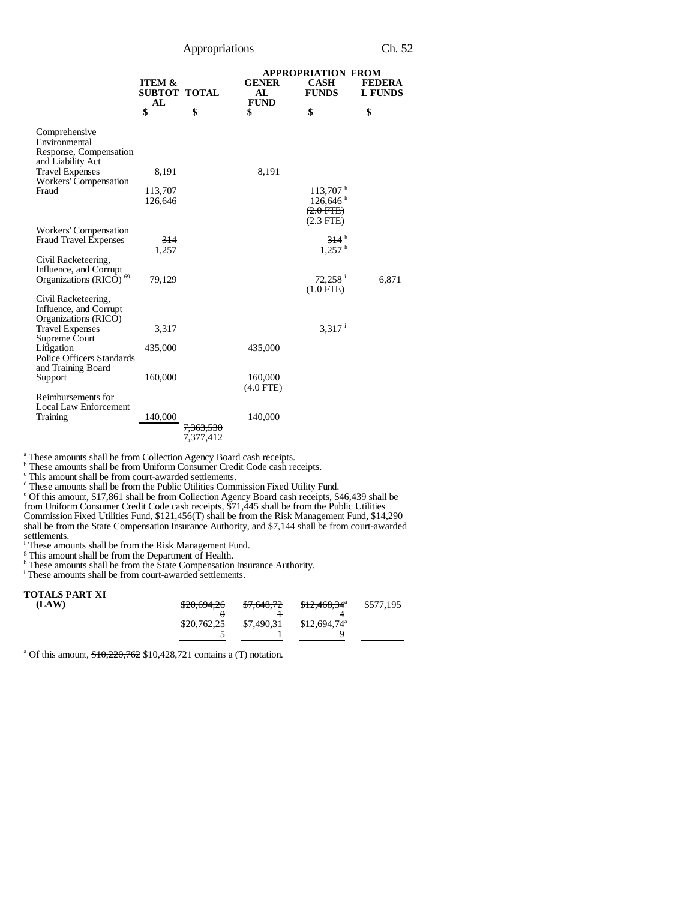Appropriations Ch. 52

|                                                                       |                                                |                                   | <b>APPROPRIATION FROM</b>         |                                                                      |                                 |  |
|-----------------------------------------------------------------------|------------------------------------------------|-----------------------------------|-----------------------------------|----------------------------------------------------------------------|---------------------------------|--|
|                                                                       | <b>ITEM &amp;</b><br><b>SUBTOT TOTAL</b><br>AL |                                   | <b>GENER</b><br>AL<br><b>FUND</b> | <b>CASH</b><br><b>FUNDS</b>                                          | <b>FEDERA</b><br><b>L FUNDS</b> |  |
|                                                                       | \$                                             | \$                                | \$                                | \$                                                                   | \$                              |  |
| Comprehensive<br>Environmental<br>Response, Compensation              |                                                |                                   |                                   |                                                                      |                                 |  |
| and Liability Act                                                     |                                                |                                   |                                   |                                                                      |                                 |  |
| <b>Travel Expenses</b><br>Workers' Compensation                       | 8,191                                          |                                   | 8,191                             |                                                                      |                                 |  |
| Fraud                                                                 | 113,707<br>126,646                             |                                   |                                   | $113,707$ <sup>h</sup><br>126,646 h<br>$(2.0$ FTE $)$<br>$(2.3$ FTE) |                                 |  |
| Workers' Compensation                                                 |                                                |                                   |                                   |                                                                      |                                 |  |
| <b>Fraud Travel Expenses</b>                                          | 314<br>1,257                                   |                                   |                                   | 314h<br>1.257 <sup>h</sup>                                           |                                 |  |
| Civil Racketeering,                                                   |                                                |                                   |                                   |                                                                      |                                 |  |
| Influence, and Corrupt                                                |                                                |                                   |                                   |                                                                      |                                 |  |
| Organizations (RICO) <sup>69</sup>                                    | 79,129                                         |                                   |                                   | $72,258$ <sup>i</sup><br>$(1.0$ FTE)                                 | 6,871                           |  |
| Civil Racketeering,<br>Influence, and Corrupt<br>Organizations (RICO) |                                                |                                   |                                   |                                                                      |                                 |  |
| <b>Travel Expenses</b><br>Supreme Court                               | 3,317                                          |                                   |                                   | $3,317$ <sup>i</sup>                                                 |                                 |  |
| Litigation<br>Police Officers Standards<br>and Training Board         | 435,000                                        |                                   | 435,000                           |                                                                      |                                 |  |
| Support                                                               | 160,000                                        |                                   | 160,000<br>$(4.0$ FTE)            |                                                                      |                                 |  |
| Reimbursements for<br><b>Local Law Enforcement</b>                    |                                                |                                   |                                   |                                                                      |                                 |  |
| Training                                                              | 140,000                                        | <del>7,363,530</del><br>7,377,412 | 140,000                           |                                                                      |                                 |  |

<sup>a</sup> These amounts shall be from Collection Agency Board cash receipts.<br>
<sup>b</sup> These amounts shall be from Uniform Consumer Credit Code cash receipts.<br>
<sup>c</sup> This amount shall be from court-awarded settlements.

<sup>d</sup> These amounts shall be from the Public Utilities Commission Fixed Utility Fund.<br>
<sup>e</sup> Of this amount, \$17,861 shall be from Collection Agency Board cash receipts, \$46,439 shall be from Uniform Consumer Credit Code cash receipts, \$71,445 shall be from the Public Utilities

Commission Fixed Utilities Fund, \$121,456(T) shall be from the Risk Management Fund, \$14,290

shall be from the State Compensation Insurance Authority, and \$7,144 shall be from court-awarded settlements. f These amounts shall be from the Risk Management Fund.

<sup>g</sup> This amount shall be from the Department of Health.<br><sup>h</sup> These amounts shall be from the State Compensation Insurance Authority.

<sup>i</sup> These amounts shall be from court-awarded settlements.

#### **TOTALS PART XI**

| LAW) | \$20,694,26 | \$7,648,72 | \$12,468,34 <sup>a</sup> | \$577,195 |
|------|-------------|------------|--------------------------|-----------|
|      |             |            | 4                        |           |
|      | \$20,762,25 | \$7,490,31 | $$12,694,74^{\circ}$     |           |
|      |             |            |                          |           |
|      |             |            |                          |           |

<sup>a</sup> Of this amount,  $$10,220,762$  \$10,428,721 contains a (T) notation.